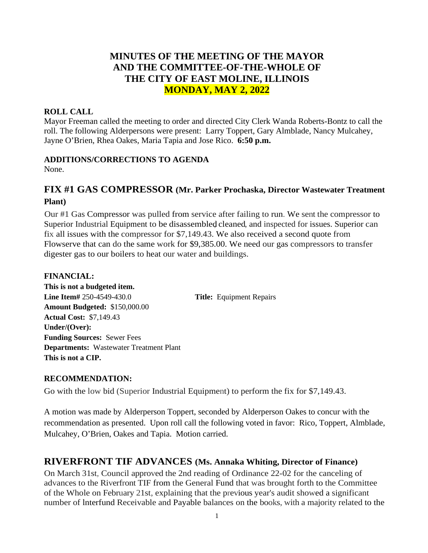# **MINUTES OF THE MEETING OF THE MAYOR AND THE COMMITTEE-OF-THE-WHOLE OF THE CITY OF EAST MOLINE, ILLINOIS MONDAY, MAY 2, 2022**

### **ROLL CALL**

Mayor Freeman called the meeting to order and directed City Clerk Wanda Roberts-Bontz to call the roll. The following Alderpersons were present: Larry Toppert, Gary Almblade, Nancy Mulcahey, Jayne O'Brien, Rhea Oakes, Maria Tapia and Jose Rico. **6:50 p.m.**

### **ADDITIONS/CORRECTIONS TO AGENDA**

None.

## **FIX #1 GAS COMPRESSOR (Mr. Parker Prochaska, Director Wastewater Treatment Plant)**

Our #1 Gas Compressor was pulled from service after failing to run. We sent the compressor to Superior Industrial Equipment to be disassembled cleaned, and inspected for issues. Superior can fix all issues with the compressor for \$7,149.43. We also received a second quote from Flowserve that can do the same work for \$9,385.00. We need our gas compressors to transfer digester gas to our boilers to heat our water and buildings.

### **FINANCIAL:**

**This is not a budgeted item. Line Item#** 250-4549-430.0 **Title:** Equipment Repairs **Amount Budgeted:** \$150,000.00 **Actual Cost:** \$7,149.43 **Under/(Over): Funding Sources:** Sewer Fees **Departments:** Wastewater Treatment Plant **This is not a CIP.**

### **RECOMMENDATION:**

Go with the low bid (Superior Industrial Equipment) to perform the fix for \$7,149.43.

A motion was made by Alderperson Toppert, seconded by Alderperson Oakes to concur with the recommendation as presented. Upon roll call the following voted in favor: Rico, Toppert, Almblade, Mulcahey, O'Brien, Oakes and Tapia. Motion carried.

# **RIVERFRONT TIF ADVANCES (Ms. Annaka Whiting, Director of Finance)**

On March 31st, Council approved the 2nd reading of Ordinance 22-02 for the canceling of advances to the Riverfront TIF from the General Fund that was brought forth to the Committee of the Whole on February 21st, explaining that the previous year's audit showed a significant number of lnterfund Receivable and Payable balances on the books, with a majority related to the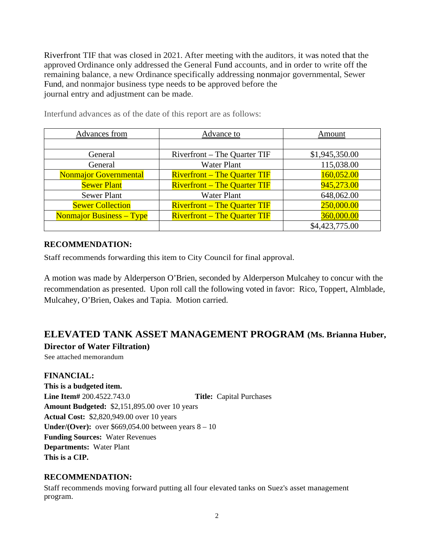Riverfront TIF that was closed in 2021. After meeting with the auditors, it was noted that the approved Ordinance only addressed the General Fund accounts, and in order to write off the remaining balance, a new Ordinance specifically addressing nonmajor governmental, Sewer Fund, and nonmajor business type needs to be approved before the journal entry and adjustment can be made.

| Advances from                   | Advance to                          | Amount         |
|---------------------------------|-------------------------------------|----------------|
|                                 |                                     |                |
| General                         | Riverfront – The Quarter TIF        | \$1,945,350.00 |
| General                         | <b>Water Plant</b>                  | 115,038.00     |
| <b>Nonmajor Governmental</b>    | <b>Riverfront – The Quarter TIF</b> | 160,052.00     |
| <b>Sewer Plant</b>              | <b>Riverfront – The Quarter TIF</b> | 945,273.00     |
| Sewer Plant                     | <b>Water Plant</b>                  | 648,062.00     |
| <b>Sewer Collection</b>         | <b>Riverfront – The Quarter TIF</b> | 250,000.00     |
| <b>Nonmajor Business – Type</b> | <b>Riverfront – The Quarter TIF</b> | 360,000.00     |
|                                 |                                     | \$4,423,775.00 |

Interfund advances as of the date of this report are as follows:

#### **RECOMMENDATION:**

Staff recommends forwarding this item to City Council for final approval.

A motion was made by Alderperson O'Brien, seconded by Alderperson Mulcahey to concur with the recommendation as presented. Upon roll call the following voted in favor: Rico, Toppert, Almblade, Mulcahey, O'Brien, Oakes and Tapia. Motion carried.

### **ELEVATED TANK ASSET MANAGEMENT PROGRAM (Ms. Brianna Huber, Director of Water Filtration)**

See attached memorandum

**FINANCIAL: This is a budgeted item. Line Item#** 200.4522.743.0 **Title:** Capital Purchases **Amount Budgeted:** \$2,151,895.00 over 10 years **Actual Cost:** \$2,820,949.00 over 10 years **Under/(Over):** over  $$669,054.00$  between years  $8 - 10$ **Funding Sources:** Water Revenues **Departments:** Water Plant **This is a CIP.**

### **RECOMMENDATION:**

Staff recommends moving forward putting all four elevated tanks on Suez's asset management program.